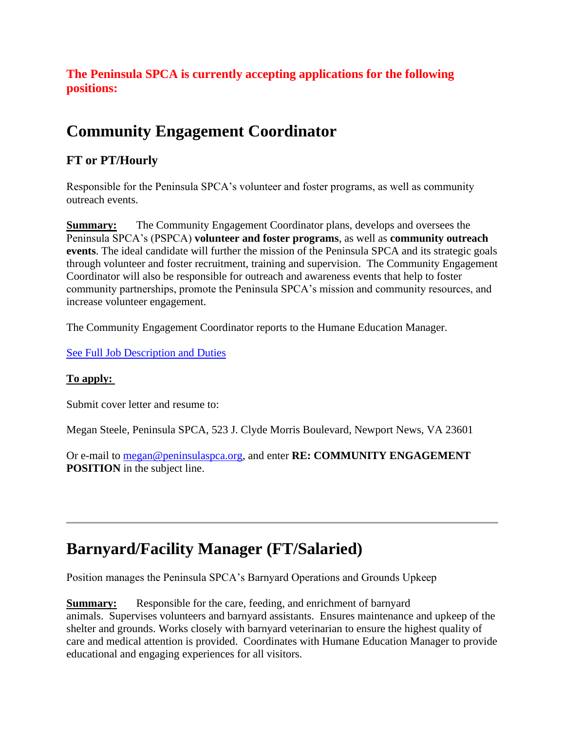### **The Peninsula SPCA is currently accepting applications for the following positions:**

# **Community Engagement Coordinator**

### **FT or PT/Hourly**

Responsible for the Peninsula SPCA's volunteer and foster programs, as well as community outreach events.

**Summary:** The Community Engagement Coordinator plans, develops and oversees the Peninsula SPCA's (PSPCA) **volunteer and foster programs**, as well as **community outreach events**. The ideal candidate will further the mission of the Peninsula SPCA and its strategic goals through volunteer and foster recruitment, training and supervision. The Community Engagement Coordinator will also be responsible for outreach and awareness events that help to foster community partnerships, promote the Peninsula SPCA's mission and community resources, and increase volunteer engagement.

The Community Engagement Coordinator reports to the Humane Education Manager.

See Full Job Description and Duties

#### **To apply:**

Submit cover letter and resume to:

Megan Steele, Peninsula SPCA, 523 J. Clyde Morris Boulevard, Newport News, VA 23601

Or e-mail to [megan@peninsulaspca.org,](mailto:megan@peninsulaspca.org) and enter **RE: COMMUNITY ENGAGEMENT POSITION** in the subject line.

# **Barnyard/Facility Manager (FT/Salaried)**

Position manages the Peninsula SPCA's Barnyard Operations and Grounds Upkeep

**Summary:** Responsible for the care, feeding, and enrichment of barnyard animals. Supervises volunteers and barnyard assistants. Ensures maintenance and upkeep of the shelter and grounds. Works closely with barnyard veterinarian to ensure the highest quality of care and medical attention is provided. Coordinates with Humane Education Manager to provide educational and engaging experiences for all visitors.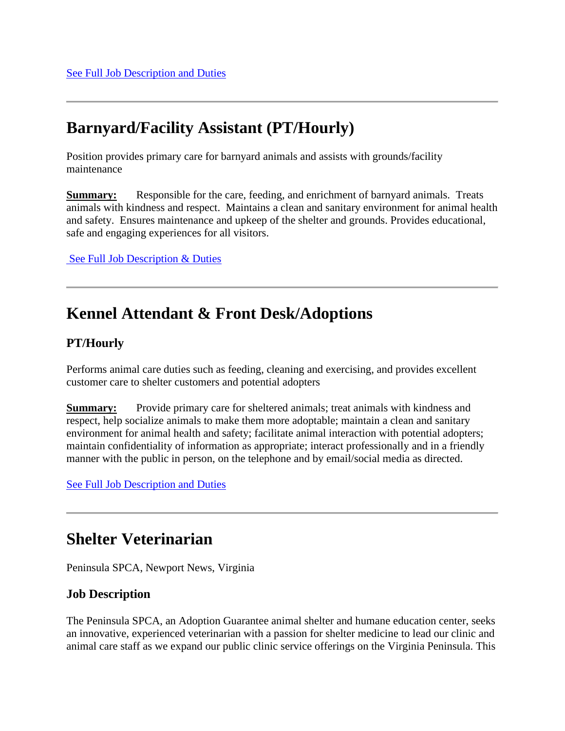## **Barnyard/Facility Assistant (PT/Hourly)**

Position provides primary care for barnyard animals and assists with grounds/facility maintenance

**Summary:** Responsible for the care, feeding, and enrichment of barnyard animals. Treats animals with kindness and respect. Maintains a clean and sanitary environment for animal health and safety. Ensures maintenance and upkeep of the shelter and grounds. Provides educational, safe and engaging experiences for all visitors.

See Full Job Description & Duties

### **Kennel Attendant & Front Desk/Adoptions**

### **PT/Hourly**

Performs animal care duties such as feeding, cleaning and exercising, and provides excellent customer care to shelter customers and potential adopters

**Summary:** Provide primary care for sheltered animals; treat animals with kindness and respect, help socialize animals to make them more adoptable; maintain a clean and sanitary environment for animal health and safety; facilitate animal interaction with potential adopters; maintain confidentiality of information as appropriate; interact professionally and in a friendly manner with the public in person, on the telephone and by email/social media as directed.

See Full Job Description and Duties

### **Shelter Veterinarian**

Peninsula SPCA, Newport News, Virginia

### **Job Description**

The Peninsula SPCA, an Adoption Guarantee animal shelter and humane education center, seeks an innovative, experienced veterinarian with a passion for shelter medicine to lead our clinic and animal care staff as we expand our public clinic service offerings on the Virginia Peninsula. This